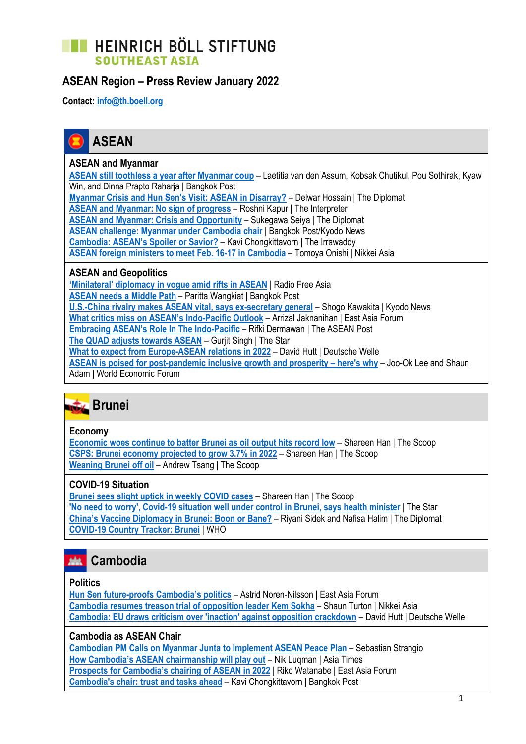# **TE HEINRICH BÖLL STIFTUNG SOUTHEAST ASIA**

## **ASEAN Region – Press Review January 2022**

**Contact: [info@th.boell.org](mailto:info@th.boell.org?subject=Political%20overview%20ASEAN)**



### **ASEAN and Myanmar**

**[ASEAN still toothless a year after Myanmar coup](https://www.bangkokpost.com/opinion/opinion/2252295/asean-still-toothless-a-year-after-myanmar-coup)** – Laetitia van den Assum, Kobsak Chutikul, Pou Sothirak, Kyaw Win, and Dinna Prapto Raharja | Bangkok Post **[Myanmar Crisis and Hun Sen's Visit: ASEAN in Disarray?](https://thediplomat.com/2022/01/myanmar-crisis-and-hun-sens-visit-asean-in-disarray/)** – Delwar Hossain | The Diplomat **[ASEAN and Myanmar: No sign of progress](https://www.lowyinstitute.org/the-interpreter/asean-and-myanmar-no-sign-progress)** – Roshni Kapur | The Interpreter **[ASEAN and Myanmar: Crisis and Opportunity](https://thediplomat.com/2022/01/asean-and-myanmar-crisis-and-opportunity/)** – Sukegawa Seiya | The Diplomat **[ASEAN challenge: Myanmar under Cambodia chair](https://www.bangkokpost.com/world/2251743/focus-asean-may-face-bigger-challenge-on-myanmar-under-cambodias-chair)** | Bangkok Post/Kyodo News **Cambo[dia: ASEAN's Spoiler or Savior?](https://www.irrawaddy.com/opinion/guest-column/cambodia-aseans-spoiler-or-savior.html)** – Kavi Chongkittavorn | The Irrawaddy

**[ASEAN foreign ministers to meet Feb. 16-17 in Cambodia](https://asia.nikkei.com/Politics/International-relations/ASEAN-foreign-ministers-to-meet-Feb.-16-17-in-Cambodia)** – Tomoya Onishi | Nikkei Asia

### **ASEAN and Geopolitics**

**['Minilateral' diplomacy in vogue amid rifts in ASEAN](https://www.rfa.org/english/news/cambodia/asean-rifts-01282022141546.html)** | Radio Free Asia **[ASEAN needs a Middle Path](https://www.bangkokpost.com/business/2248587/asean-needs-a-middle-path)** – Paritta Wangkiat | Bangkok Post **[U.S.-China rivalry makes ASEAN vital, says ex-secretary general](https://english.kyodonews.net/news/2022/01/cfa802dac467-us-china-rivalry-makes-asean-vital-says-ex-secretary-general.html)** – Shogo Kawakita | Kyodo News **[What critics miss on ASEAN's](https://www.eastasiaforum.org/2022/01/26/what-critics-miss-on-aseans-indo-pacific-outlook/) Indo-Pacific Outlook** – Arrizal Jaknanihan | East Asia Forum **[Embracing ASEAN's Role In The Indo](https://theaseanpost.com/article/embracing-aseans-role-indo-pacific)-Pacific** – Rifki Dermawan | The ASEAN Post **[The QUAD adjusts towards ASEAN](https://www.thestar.com.my/news/focus/2022/01/16/the-quad-adjusts-towards-asean)** – Gurjit Singh | The Star **[What to expect from Europe-ASEAN relations in 2022](https://www.dw.com/en/what-to-expect-from-europe-asean-relations-in-2022/a-60396659)** – David Hutt | Deutsche Welle **[ASEAN is poised for post-pandemic inclusive growth and prosperity](https://www.weforum.org/agenda/2022/01/asean-is-poised-for-post-pandemic-inclusive-growth-and-prosperity-heres-why/) – here's why** – Joo-Ok Lee and Shaun Adam | World Economic Forum



### **Economy**

**[Economic woes continue to batter Brunei as oil output hits record low](https://thescoop.co/2022/01/11/economic-woes-continue-to-batter-brunei-as-oil-production-hits-record-low/)** – Shareen Han | The Scoop **[CSPS: Brunei economy projected to grow 3.7% in 2022](https://thescoop.co/2022/01/26/csps-brunei-economy-projected-to-grow-3-7-in-2022/)** – Shareen Han | The Scoop **[Weaning Brunei off oil](https://thescoop.co/2022/01/17/weaning-brunei-off-oil/)** – Andrew Tsang | The Scoop

### **COVID-19 Situation**

**[Brunei sees slight uptick in weekly COVID cases](https://thescoop.co/2022/01/24/brunei-sees-uptick-in-weekly-covid-case-count/)** – Shareen Han | The Scoop **['No need to worry', Covid-19 situation well under control in Brunei, says health minister](https://www.thestar.com.my/aseanplus/aseanplus-news/2022/01/25/039no-need-to-worry039-covid-19-situation-well-under-control-in-brunei-says-health-minister)** | The Star **[China's Vaccine Diplomacy in Brunei: Boon or Bane?](https://thediplomat.com/2022/01/chinas-vaccine-diplomacy-in-brunei-boon-or-bane/)** – Riyani Sidek and Nafisa Halim | The Diplomat **[COVID-19 Country Tracker: Brunei](https://covid19.who.int/region/wpro/country/bn)** | WHO



### **Politics**

**Hun Sen future-[proofs Cambodia's politics](https://www.eastasiaforum.org/2022/01/21/hun-sen-future-proofs-cambodias-politics/)** – Astrid Noren-Nilsson | East Asia Forum **[Cambodia resumes treason trial of opposition leader Kem Sokha](https://asia.nikkei.com/Politics/Cambodia-resumes-treason-trial-of-opposition-leader-Kem-Sokha)** – Shaun Turton | Nikkei Asia **[Cambodia: EU draws criticism over 'inaction' against opposition crackdown](https://www.dw.com/en/cambodia-eu-draws-criticism-over-inaction-against-opposition-crackdown/a-60536067)** – David Hutt | Deutsche Welle

### **Cambodia as ASEAN Chair**

**[Cambodian PM Calls on Myanmar Junta to Implement ASEAN Peace Plan](https://thediplomat.com/2022/01/cambodian-pm-calls-on-myanmar-junta-to-implement-asean-peace-plan/)** – Sebastian Strangio **[How Cambodia's ASEAN chairmanship will play out](https://asiatimes.com/2022/01/how-cambodias-asean-chairmanship-will-play-out/)** – Nik Luqman | Asia Times **[Prospects for Cambodia's chairing of ASEAN in 2022](https://www.eastasiaforum.org/2022/01/18/prospects-for-cambodias-chairing-of-asean-in-2022/)** | Riko Watanabe | East Asia Forum **[Cambodia's chair: trust and tasks ahead](https://www.bangkokpost.com/opinion/opinion/2249127/cambodias-chair-trust-and-tasks-ahead)** – Kavi Chongkittavorn | Bangkok Post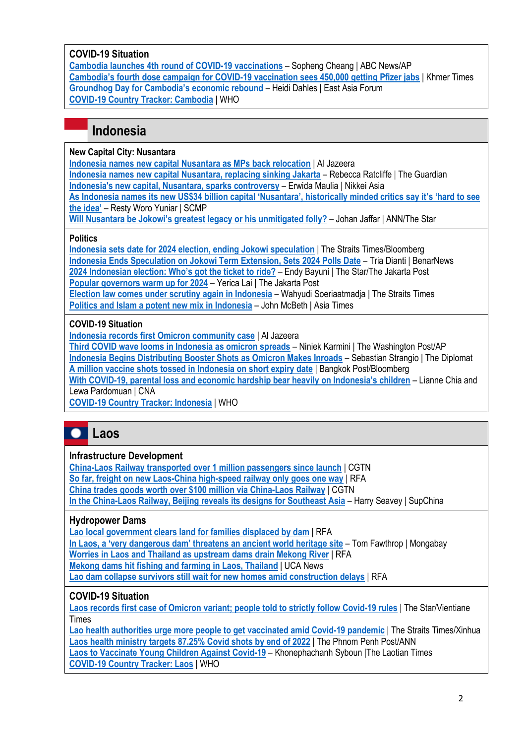### **COVID-19 Situation**

**[Cambodia launches 4th round of COVID-19 vaccinations](https://abcnews.go.com/Health/wireStory/cambodia-launches-4th-round-covid-19-vaccinations-82260685)** – Sopheng Cheang | ABC News/AP **Cambodia's fourth [dose campaign for COVID-19 vaccination sees 450,000 getting Pfizer jabs](https://www.khmertimeskh.com/501016075/cambodias-fourth-dose-campiagn-for-covid-19-vaccination-sees-450000-getting-pfizer-jabs/)** | Khmer Times **[Groundhog Day for Cambodia's economic rebound](https://www.eastasiaforum.org/2022/01/12/groundhog-day-for-cambodias-economic-rebound/)** – Heidi Dahles | East Asia Forum **[COVID-19 Country Tracker: Cambodia](https://covid19.who.int/region/wpro/country/kh)** | WHO

# **Indonesia**

### **New Capital City: Nusantara**

**[Indonesia names new capital Nusantara as MPs back relocation](https://www.aljazeera.com/news/2022/1/18/nusantara-indonesias-parliament-passes-law-to-relocate-capital)** | Al Jazeera

**[Indonesia names new capital Nusantara, replacing sinking Jakarta](https://www.theguardian.com/world/2022/jan/18/indonesia-names-new-capital-nusantara-replacing-sinking-city-of-jakarta)** – Rebecca Ratcliffe | The Guardian **[Indonesia's new capital, Nusantara, sparks controversy](https://asia.nikkei.com/Politics/Indonesia-s-new-capital-Nusantara-sparks-controversy)** – Erwida Maulia | Nikkei Asia

**[As Indonesia names its new US\\$34 billion capital 'Nusantara', historically minded critics say it's 'hard to see](https://www.scmp.com/week-asia/politics/article/3163853/indonesia-names-its-new-us34-billion-capital-nusantara)** 

**[the idea'](https://www.scmp.com/week-asia/politics/article/3163853/indonesia-names-its-new-us34-billion-capital-nusantara)** – Resty Woro Yuniar | SCMP

**[Will Nusantara be Jokowi's greatest legacy or his unmitigated folly?](https://asianews.network/will-nusantara-be-jokowis-greatest-legacy-or-his-unmitigated-folly/)** – Johan Jaffar | ANN/The Star

### **Politics**

**[Indonesia sets date for 2024 election, ending Jokowi speculation](https://www.straitstimes.com/asia/se-asia/indonesia-sets-date-for-2024-election-ending-jokowi-speculation)** | The Straits Times/Bloomberg **[Indonesia Ends Speculation on Jokowi Term Extension, Sets 2024 Polls Date](https://www.benarnews.org/english/news/indonesian/indonesia-election-date-feb-2024-announced-01252022135010.html)** – Tria Dianti | BenarNews **[2024 Indonesian election: Who's got the ticket to ride?](https://www.thestar.com.my/aseanplus/aseanplus-news/2022/01/12/2024-indonesian-election-whos-got-the-ticket-to-ride)** – Endy Bayuni | The Star/The Jakarta Post **[Popular governors warm up for 2024](https://www.thejakartapost.com/indonesia/2022/01/31/popular-governors-warm-up-for-2024.html)** – Yerica Lai | The Jakarta Post **[Election law comes under scrutiny again in Indonesia](https://www.straitstimes.com/asia/se-asia/election-law-comes-under-scrutiny-again-in-indonesia)** – Wahyudi Soeriaatmadja | The Straits Times **[Politics and Islam a potent new mix in Indonesia](https://asiatimes.com/2022/01/politics-and-islam-in-potent-new-mix-in-indonesia/)** – John McBeth | Asia Times

### **COVID-19 Situation**

**[Indonesia records first Omicron community case](https://www.aljazeera.com/news/2021/12/28/indonesia-records-first-omicron-community-case)** | Al Jazeera

**[Third COVID wave looms in Indonesia as omicron spreads](https://www.washingtonpost.com/world/third-covid-wave-looms-in-indonesia-as-omicron-spreads/2022/01/29/dd66ec0c-80e0-11ec-8cc8-b696564ba796_story.html)** – Niniek Karmini | The Washington Post/AP **[Indonesia Begins Distributing Booster Shots as Omicron Makes Inroads](https://thediplomat.com/2022/01/indonesia-begins-distributing-booster-shots-as-omicron-makes-inroads/)** – Sebastian Strangio | The Diplomat **[A million vaccine shots tossed in Indonesia on short expiry date](https://www.bangkokpost.com/world/2250595/a-million-vaccine-shots-tossed-in-indonesia-on-short-expiry-date)** | Bangkok Post/Bloomberg

**With COVID-19, parental loss and e[conomic hardship bear heavily on Indonesia's](https://www.channelnewsasia.com/cna-insider/covid-19-pandemic-indonesia-children-orphans-struggle-stay-school-survive-loss-parents-2450116) children** – Lianne Chia and Lewa Pardomuan | CNA

**[COVID-19 Country Tracker: Indonesia](https://covid19.who.int/region/searo/country/id)** | WHO



### **Infrastructure Development**

**[China-Laos Railway transported over 1 million passengers since launch](https://news.cgtn.com/news/2022-01-31/China-Laos-Railway-transported-over-1-million-passengers-since-launch-17gtpecCVeE/index.html)** | CGTN **[So far, freight on new Laos-China high-speed railway only goes one way](https://www.rfa.org/english/news/laos/freight-01242022161935.html)** | RFA **[China trades goods worth over \\$100 million via China-Laos Railway](https://news.cgtn.com/news/2022-01-06/China-trades-goods-worth-over-100-million-via-China-Laos-Railway-16BFyasnUGI/index.html)** | CGTN **[In the China-Laos Railway, Beijing reveals its designs for Southeast](https://supchina.com/2022/01/04/in-the-china-laos-railway-beijing-reveals-its-designs-for-southeast-asia/) Asia** – Harry Seavey | SupChina

### **Hydropower Dams**

**[Lao local government clears land for families displaced by dam](https://www.rfa.org/english/news/laos/dam-01202022175415.html)** | RFA

**[In Laos, a 'very dangerous dam' threatens an ancient world heritage site](https://news.mongabay.com/2021/12/in-laos-a-very-dangerous-dam-threatens-an-ancient-world-heritage-site/)** – Tom Fawthrop | Mongabay

**[Worries in Laos and Thailand as upstream dams drain Mekong River](https://www.rfa.org/english/news/laos/mekong-water-01212022141419.html)** | RFA

**[Mekong dams hit fishing and farming in Laos, Thailand](https://www.ucanews.com/news/mekong-dams-hit-fishing-and-farming-in-laos-thailand/95859)** | UCA News

**[Lao dam collapse survivors still wait for new homes amid construction delays](https://www.rfa.org/english/news/laos/homes-12222021093032.html)** | RFA

### **COVID-19 Situation**

**[Laos records first case of Omicron variant; people told to strictly follow Covid-19 rules](https://www.thestar.com.my/aseanplus/aseanplus-news/2022/01/08/laos-records-first-case-of-omicron-variant-people-told-to-strictly-follow-covid-19-rules)** | The Star/Vientiane Times

**[Lao health authorities urge more people to get vaccinated amid Covid-19 pandemic](https://www.straitstimes.com/asia/se-asia/lao-health-authorities-urge-more-people-to-get-vaccinated-amid-covid-19-pandemic)** | The Straits Times/Xinhua **[Laos health ministry targets 87.25% Covid shots by end of 2022](https://www.phnompenhpost.com/international/laos-health-ministry-targets-8725-covid-shots-end-2022)** | The Phnom Penh Post/ANN **Laos to Vaccinate Young [Children Against Covid-19](https://laotiantimes.com/2022/01/31/laos-to-vaccinate-young-children-against-covid-19/)** – Khonephachanh Syboun |The Laotian Times **[COVID-19 Country Tracker: Laos](https://covid19.who.int/region/wpro/country/la)** | WHO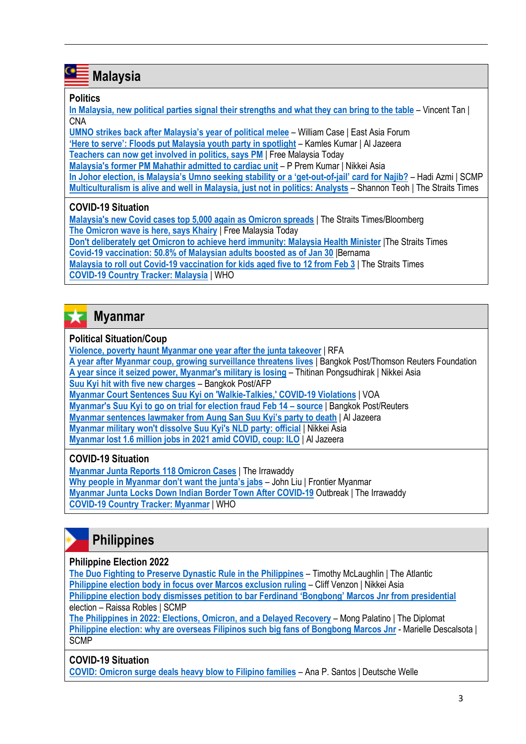# **Malaysia**

### **Politics**

œ

**[In Malaysia, new political parties signal their strengths and what they can bring to the table](https://www.channelnewsasia.com/asia/malaysia-new-political-parties-general-election-muda-gerak-independent-parti-kuasa-rakyat-parti-bangsa-malaysia-2466156)** – Vincent Tan | **CNA** 

**[UMNO strikes back after Malaysia's year of political melee](https://www.eastasiaforum.org/2022/01/07/umno-strikes-back-after-malaysias-year-of-political-melee/)** – William Case | East Asia Forum

**['Here to serve': Floods put Malaysia youth party in spotlight](https://www.aljazeera.com/news/2022/1/12/malaysia-youth-party-builds-new-brand-of-politics-in-weary)** – Kamles Kumar | Al Jazeera

**[Teachers can now get involved in politics, says PM](https://www.freemalaysiatoday.com/category/nation/2022/01/22/teachers-can-now-get-involved-in-politics-says-pm/)** | Free Malaysia Today

**[Malaysia's former PM Mahathir admitted to cardiac unit](https://asia.nikkei.com/Politics/Malaysia-s-former-PM-Mahathir-admitted-to-cardiac-unit)** – P Prem Kumar | Nikkei Asia

**[In Johor election, is Malaysia's Umno seeking stability or a 'get](https://www.scmp.com/week-asia/explained/article/3164628/johor-election-malaysias-umno-seeking-stability-or-get-out-jail)-out-of-jail' card for Najib?** – Hadi Azmi | SCMP **[Multiculturalism is alive and well in Malaysia, just not in politics: Analysts](https://www.straitstimes.com/asia/se-asia/malaysians-say-multiculturalism-is-alive-and-well-just-not-in-politics)** – Shannon Teoh | The Straits Times

### **COVID-19 Situation**

**[Malaysia's new Covid cases top 5,000 again as Omicron spreads](https://www.straitstimes.com/asia/se-asia/malaysias-new-covid-cases-top-5000-again-as-omicron-spreads)** | The Straits Times/Bloomberg **[The Omicron wave is here, says Khairy](https://www.freemalaysiatoday.com/category/nation/2022/01/26/the-omicron-wave-is-here-says-khairy/)** | Free Malaysia Today

**[Don't deliberately get Omicron to achieve herd immunity: Malaysia Health Minister](https://www.straitstimes.com/asia/se-asia/dont-deliberately-get-covid-19-variant-omicron-to-achieve-immunity-khairy)** |The Straits Times **[Covid-19 vaccination: 50.8% of Malaysian adults boosted as of Jan 30](https://www.theedgemarkets.com/article/covid19-vaccination-508-malaysian-adults-boosted-jan-30)** |Bernama

**[Malaysia to roll out Covid-19 vaccination for kids aged five to 12 from Feb 3](https://www.straitstimes.com/asia/se-asia/malaysia-to-roll-out-covid-19-vaccination-for-kids-aged-five-to-12-from-feb-3)** | The Straits Times **[COVID-19 Country Tracker: Malaysia](https://covid19.who.int/region/wpro/country/my)** | WHO

### 52 **Myanmar**

### **Political Situation/Coup**

**[Violence, poverty haunt Myanmar one year after the junta takeover](https://www.rfa.org/english/news/special/myanmar1year/index.html)** | RFA **[A year after Myanmar coup, growing surveillance threatens lives](https://www.bangkokpost.com/world/2256371/a-year-after-myanmar-coup-growing-surveillance-threatens-lives)** | Bangkok Post/Thomson Reuters Foundation **[A year since it seized power, Myanmar's military is losing](https://asia.nikkei.com/Opinion/A-year-since-it-seized-power-Myanmar-s-military-is-losing)** – Thitinan Pongsudhirak | Nikkei Asia **[Suu Kyi hit with five new charges](https://www.bangkokpost.com/world/2247959/myanmar-junta-hits-suu-kyi-with-five-new-charges-over-helicopter-purchase)** – Bangkok Post/AFP **[Myanmar Court Sentences Suu Kyi on 'Walkie-Talkies,' COVID-19 Violations](https://www.voanews.com/a/myanmar-court-sentences-suu-kyi-on-walkie-talkies-covid-19-violations-/6389761.html)** | VOA **[Myanmar's Suu Kyi to go on trial for election fraud Feb 14](https://www.bangkokpost.com/world/2256463/myanmars-suu-kyi-to-go-on-trial-for-election-fraud-feb-14-source) – source** | Bangkok Post/Reuters **Myanmar sentences lawmaker [from Aung San Suu Kyi's party to death](https://www.aljazeera.com/news/2022/1/22/myanmar-sentences-lawmaker-from-aung-san-suu-kyis-party-to-death)** | Al Jazeera **[Myanmar military won't dissolve Suu Kyi's NLD party: official](https://asia.nikkei.com/Spotlight/Myanmar-Crisis/Myanmar-military-won-t-dissolve-Suu-Kyi-s-NLD-party-official)** | Nikkei Asia **Myanmar lost [1.6 million jobs in 2021 amid COVID, coup: ILO](https://www.aljazeera.com/economy/2022/1/28/myanmar-lost-1-6-million-jobs-in-2021-amid-covid-coup-ilo)** | Al Jazeera

### **COVID-19 Situation**

**[Myanmar Junta Reports 118 Omicron Cases](https://www.irrawaddy.com/news/burma/myanmar-junta-reports-118-omicron-cases.html)** | The Irrawaddy **[Why people in Myanmar don't want the junta's jabs](https://www.frontiermyanmar.net/en/why-people-in-myanmar-dont-want-the-juntas-jabs/)** – John Liu | Frontier Myanmar **[Myanmar Junta Locks Down Indian Border Town After COVID-19](https://www.irrawaddy.com/news/burma/myanmar-junta-locks-down-indian-border-town-after-covid-19-outbreak.html)** Outbreak | The Irrawaddy **[COVID-19 Country Tracker: Myanmar](https://covid19.who.int/region/searo/country/mm)** | WHO

# **Philippines**

### **Philippine Election 2022**

**[The Duo Fighting to Preserve Dynastic Rule in the Philippines](https://www.theatlantic.com/international/archive/2022/01/2022-philippines-election-duterte-marcos/621202/)** – Timothy McLaughlin | The Atlantic **[Philippine election body in focus over Marcos exclusion ruling](https://asia.nikkei.com/Politics/Philippine-elections-2022/Philippine-election-body-in-focus-over-Marcos-exclusion-ruling)** – Cliff Venzon | Nikkei Asia **[Philippine election body dismisses petition to bar Ferdinand 'Bongbong' Marcos Jnr from presidential](https://www.scmp.com/week-asia/politics/article/3163725/philippine-election-body-dismisses-petition-bar-ferdinand)** election – Raissa Robles | SCMP

**[The Philippines in 2022: Elections, Omicron, and a Delayed Recovery](https://thediplomat.com/2022/01/the-philippines-in-2022-elections-omicron-and-a-delayed-recovery/)** – Mong Palatino | The Diplomat **[Philippine election: why are overseas Filipinos such big fans of Bongbong Marcos Jnr](https://www.scmp.com/week-asia/people/article/3161800/philippine-election-why-are-overseas-filipinos-such-big-fans)** - Marielle Descalsota | **SCMP** 

### **COVID-19 Situation**

**[COVID: Omicron surge deals heavy blow to Filipino families](https://www.dw.com/en/covid-omicron-surge-deals-heavy-blow-to-filipino-families/a-60538223)** – Ana P. Santos | Deutsche Welle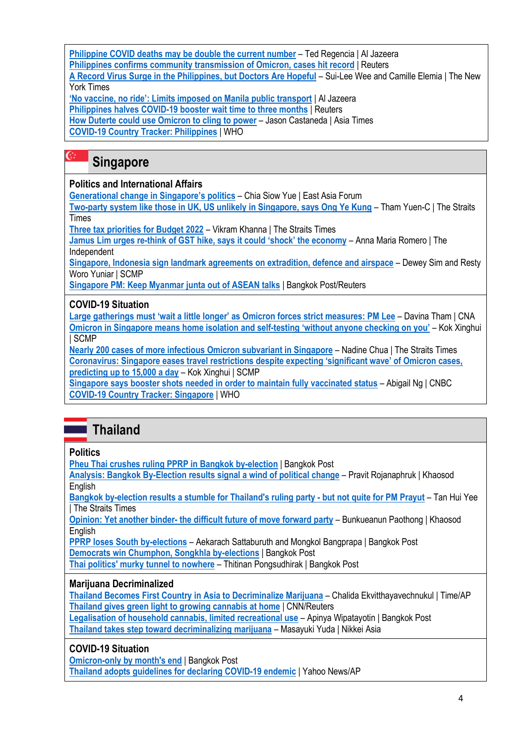**[Philippine COVID deaths may be double the current number](https://www.aljazeera.com/news/2022/1/18/philippine-covid-deaths-may-be-double-than-current-number-report)** – Ted Regencia | Al Jazeera **[Philippines confirms community transmission of Omicron, cases hit](https://www.reuters.com/business/healthcare-pharmaceuticals/philippines-confirms-community-transmission-omicron-cases-hit-record-2022-01-15/) record | Reuters** 

**[A Record Virus Surge in the Philippines, but Doctors Are Hopeful](https://www.nytimes.com/2022/01/17/world/asia/philippines-covid-surge-omicron.html)** – Sui-Lee Wee and Camille Elemia | The New York Times

**['No vaccine, no ride': Limits imposed on Manila public transport](https://www.aljazeera.com/news/2022/1/12/limits-imposed-on-manila-public-transport)** | Al Jazeera **[Philippines halves COVID-19 booster wait time to three months](https://www.reuters.com/world/asia-pacific/philippines-cuts-covid-19-booster-shot-interval-three-months-2021-12-21/)** | Reuters **[How Duterte could use Omicron to cling to power](https://asiatimes.com/2022/01/how-duterte-could-use-omicron-to-cling-to-power/)** – Jason Castaneda | Asia Times **[COVID-19 Country Tracker: Philippines](https://covid19.who.int/region/wpro/country/ph)** | WHO

### $\mathbb{G}^{\mathbb{Z}}$ **Singapore**

### **Politics and International Affairs**

**[Generational change in Singapore's politics](https://www.eastasiaforum.org/2022/01/22/generational-change-in-singapores-politics/)** – Chia Siow Yue | East Asia Forum

**[Two-party system like those in UK, US unlikely in Singapore, says Ong Ye Kung](https://www.straitstimes.com/singapore/politics/two-party-system-like-those-in-uk-us-unlikely-in-singapore-says-ong-ye-kung)** – Tham Yuen-C | The Straits Times

**[Three tax priorities for Budget 2022](https://www.straitstimes.com/opinion/three-tax-priorities-for-budget-2022)** – Vikram Khanna | The Straits Times

**Jamus Lim urges re-[think of GST hike, says it could 'shock' the economy](https://theindependent.sg/jamus-lim-urges-re-think-of-gst-hike-says-it-could-shock-the-economy/)** – Anna Maria Romero | The Independent

**[Singapore, Indonesia sign landmark agreements on extradition, defence and](https://www.scmp.com/week-asia/politics/article/3164674/singapore-indonesia-sign-landmark-agreements-extradition-defence) airspace** – Dewey Sim and Resty Woro Yuniar | SCMP

**[Singapore PM: Keep Myanmar junta out of ASEAN talks](https://www.bangkokpost.com/world/2247979/singapore-pm-keep-myanmar-junta-out-of-asean-talks)** | Bangkok Post/Reuters

### **COVID-19 Situation**

**[Large gatherings must 'wait a little longer' as Omicron forces strict measures: PM Lee](https://www.channelnewsasia.com/singapore/large-gatherings-wait-longer-omicron-covid19-pm-lee-2468656)** – Davina Tham | CNA **[Omicron in Singapore means home isolation and self-](https://www.scmp.com/week-asia/health-environment/article/3164922/omicron-singapore-means-home-isolation-and-self)testing 'without anyone checking on you'** – Kok Xinghui | SCMP

**[Nearly 200 cases of more infectious Omicron subvariant in Singapore](https://www.straitstimes.com/singapore/health/nearly-200-cases-of-more-infectious-omicron-subvariant-in-singapore)** – Nadine Chua | The Straits Times **[Coronavirus: Singapore eases travel restrictions despite expecting 'significant wave' of Omicron cases,](https://www.scmp.com/week-asia/health-environment/article/3164265/coronavirus-singapore-eases-travel-restrictions)  [predicting up to 15,000 a day](https://www.scmp.com/week-asia/health-environment/article/3164265/coronavirus-singapore-eases-travel-restrictions)** – Kok Xinghui | SCMP

**[Singapore says booster shots needed in order to maintain fully vaccinated status](https://www.cnbc.com/2022/01/05/singapore-covid-booster-shots-needed-to-maintain-fully-vaccinated-status.html)** – Abigail Ng | CNBC **[COVID-19 Country Tracker: Singapore](https://covid19.who.int/region/wpro/country/sg)** | WHO

# **Thailand**

### **Politics**

**[Pheu Thai crushes ruling PPRP in Bangkok by-election](https://www.bangkokpost.com/thailand/politics/2255943/pheu-thai-crushes-ruling-pprp-in-bangkok-by-election)** | Bangkok Post

**[Analysis: Bangkok By-Election results signal a wind of political change](https://www.khaosodenglish.com/politics/2022/01/31/analysis-bangkok-by-election-results-signal-a-wind-of-political-change/)** – Pravit Rojanaphruk | Khaosod **English** 

**[Bangkok by-election results a stumble for Thailand's ruling party -](https://www.straitstimes.com/asia/se-asia/bangkok-by-election-results-a-stumble-for-ruling-party-but-not-quite-for-pm-prayut) but not quite for PM Prayut** – Tan Hui Yee | The Straits Times

**Opinion: Yet another binder- [the difficult future of move forward party](https://www.khaosodenglish.com/opinion/2022/01/26/opinion-yet-another-blunder-the-difficult-future-of-move-forward-party/)** – Bunkueanun Paothong | Khaosod **English** 

**[PPRP loses South by-elections](https://www.bangkokpost.com/thailand/politics/2248935/pprp-loses-south-by-elections)** – Aekarach Sattaburuth and Mongkol Bangprapa | Bangkok Post **[Democrats win Chumphon, Songkhla by-elections](https://www.bangkokpost.com/thailand/politics/2248711/democrats-win-chumphon-songkhla-by-elections)** | Bangkok Post

**[Thai politics' murky tunnel to nowhere](https://www.bangkokpost.com/opinion/opinion/2243271/thai-politics-murky-tunnel-to-nowhere)** – Thitinan Pongsudhirak | Bangkok Post

### **Marijuana Decriminalized**

**[Thailand Becomes First Country in Asia to Decriminalize Marijuana](https://time.com/6142360/thailand-decriminalizes-marijuana/)** – Chalida Ekvitthayavechnukul | Time/AP **[Thailand gives green light to growing cannabis at home](https://edition.cnn.com/2022/01/25/asia/thailand-cannabis-remove-drug-list-intl-hnk/index.html)** | CNN/Reuters

**[Legalisation of household cannabis, limited recreational use](https://www.bangkokpost.com/thailand/general/2252719/legalisation-of-household-cannabis-limited-recreational-use)** – Apinya Wipatayotin | Bangkok Post **[Thailand takes step toward decriminalizing marijuana](https://asia.nikkei.com/Economy/Thailand-takes-step-toward-decriminalizing-marijuana)** – Masayuki Yuda | Nikkei Asia

### **COVID-19 Situation**

**[Omicron-only by month's end](https://www.bangkokpost.com/thailand/general/2251339/omicron-only-by-months-end) | Bangkok Post [Thailand adopts guidelines for declaring COVID-19 endemic](https://news.yahoo.com/thailand-adopts-guidelines-declaring-covid-100116463.html)** | Yahoo News/AP